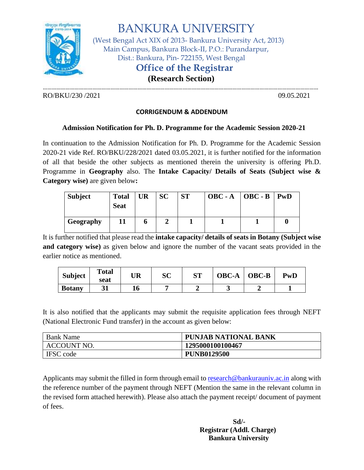

BANKURA UNIVERSITY

(West Bengal Act XIX of 2013- Bankura University Act, 2013) Main Campus, Bankura Block-II, P.O.: Purandarpur, Dist.: Bankura, Pin- 722155, West Bengal

## **Office of the Registrar**

 **(Research Section)**  …………………………………………………………………………………………………………………………………………………………………

RO/BKU/230 /2021 09.05.2021 09.05.2021

#### **CORRIGENDUM & ADDENDUM**

### **Admission Notification for Ph. D. Programme for the Academic Session 2020-21**

In continuation to the Admission Notification for Ph. D. Programme for the Academic Session 2020-21 vide Ref. RO/BKU/228/2021 dated 03.05.2021, it is further notified for the information of all that beside the other subjects as mentioned therein the university is offering Ph.D. Programme in **Geography** also. The **Intake Capacity/ Details of Seats (Subject wise & Category wise)** are given below**:**

| <b>Subject</b> | <b>Total</b><br><b>Seat</b> | <b>UR</b> | <b>SC</b> | <b>ST</b> | $OBC - A$   $OBC - B$   $PWD$ |  |
|----------------|-----------------------------|-----------|-----------|-----------|-------------------------------|--|
| Geography      |                             | o         |           |           |                               |  |

It is further notified that please read the **intake capacity/ details of seats in Botany (Subject wise and category wise)** as given below and ignore the number of the vacant seats provided in the earlier notice as mentioned.

| <b>Subject</b> | <b>Total</b><br>seat | UR | SC | CΠ | <b>OBC-A</b> | <b>OBC-B</b> | $\mathbf{P}\mathbf{w}\mathbf{D}$ |
|----------------|----------------------|----|----|----|--------------|--------------|----------------------------------|
| <b>Botany</b>  |                      | 10 |    |    |              |              |                                  |

It is also notified that the applicants may submit the requisite application fees through NEFT (National Electronic Fund transfer) in the account as given below:

| <b>Bank Name</b>   | <b>PUNJAB NATIONAL BANK</b> |
|--------------------|-----------------------------|
| <b>ACCOUNT NO.</b> | 1295000100100467            |
| <b>IFSC</b> code   | <b>PUNB0129500</b>          |

Applicants may submit the filled in form through email t[o research@bankurauniv.ac.in](mailto:research@bankurauniv.ac.in) along with the reference number of the payment through NEFT (Mention the same in the relevant column in the revised form attached herewith). Please also attach the payment receipt/ document of payment of fees.

> **Sd/- Registrar (Addl. Charge) Bankura University**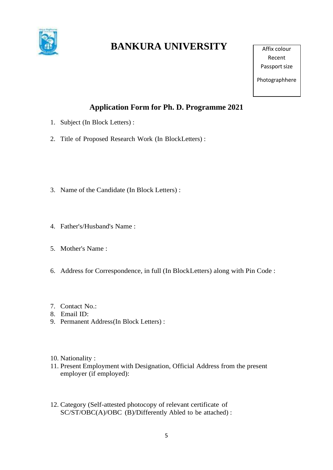

# **BANKURA UNIVERSITY**

Affix colour Recent Passport size

Photographhere

## **Application Form for Ph. D. Programme 2021**

- 1. Subject (In Block Letters) :
- 2. Title of Proposed Research Work (In BlockLetters) :
- 3. Name of the Candidate (In Block Letters) :
- 4. Father's/Husband's Name :
- 5. Mother's Name :
- 6. Address for Correspondence, in full (In BlockLetters) along with Pin Code :
- 7. Contact No.:
- 8. Email ID:
- 9. Permanent Address(In Block Letters) :
- 10. Nationality :
- 11. Present Employment with Designation, Official Address from the present employer (if employed):
- 12. Category (Self-attested photocopy of relevant certificate of SC/ST/OBC(A)/OBC (B)/Differently Abled to be attached) :